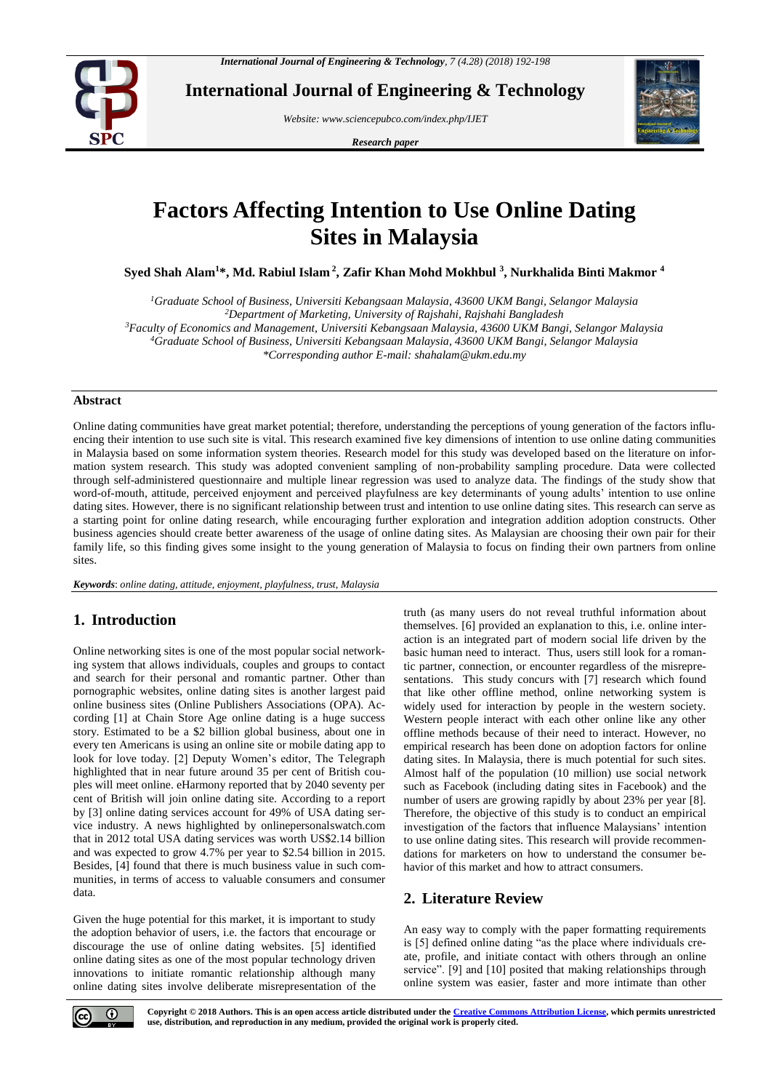

**International Journal of Engineering & Technology**

*Website: [www.sciencepubco.com/index.php/IJET](http://www.sciencepubco.com/index.php/IJET)*

*Research paper*



# **Factors Affecting Intention to Use Online Dating Sites in Malaysia**

**Syed Shah Alam<sup>1</sup>\*, Md. Rabiul Islam <sup>2</sup> , Zafir Khan Mohd Mokhbul <sup>3</sup> , Nurkhalida Binti Makmor <sup>4</sup>**

*Graduate School of Business, Universiti Kebangsaan Malaysia, 43600 UKM Bangi, Selangor Malaysia Department of Marketing, University of Rajshahi, Rajshahi Bangladesh Faculty of Economics and Management, Universiti Kebangsaan Malaysia, 43600 UKM Bangi, Selangor Malaysia Graduate School of Business, Universiti Kebangsaan Malaysia, 43600 UKM Bangi, Selangor Malaysia \*Corresponding author E-mail[: shahalam@ukm.edu.my](mailto:shahalam@ukm.edu.my)*

#### **Abstract**

Online dating communities have great market potential; therefore, understanding the perceptions of young generation of the factors influencing their intention to use such site is vital. This research examined five key dimensions of intention to use online dating communities in Malaysia based on some information system theories. Research model for this study was developed based on the literature on information system research. This study was adopted convenient sampling of non-probability sampling procedure. Data were collected through self-administered questionnaire and multiple linear regression was used to analyze data. The findings of the study show that word-of-mouth, attitude, perceived enjoyment and perceived playfulness are key determinants of young adults' intention to use online dating sites. However, there is no significant relationship between trust and intention to use online dating sites. This research can serve as a starting point for online dating research, while encouraging further exploration and integration addition adoption constructs. Other business agencies should create better awareness of the usage of online dating sites. As Malaysian are choosing their own pair for their family life, so this finding gives some insight to the young generation of Malaysia to focus on finding their own partners from online sites.

*Keywords*: *online dating, attitude, enjoyment, playfulness, trust, Malaysia*

# **1. Introduction**

Online networking sites is one of the most popular social networking system that allows individuals, couples and groups to contact and search for their personal and romantic partner. Other than pornographic websites, online dating sites is another largest paid online business sites (Online Publishers Associations (OPA). According [1] at Chain Store Age online dating is a huge success story. Estimated to be a \$2 billion global business, about one in every ten Americans is using an online site or mobile dating app to look for love today. [2] Deputy Women's editor, The Telegraph highlighted that in near future around 35 per cent of British couples will meet online. eHarmony reported that by 2040 seventy per cent of British will join online dating site. According to a report by [3] online dating services account for 49% of USA dating service industry. A news highlighted by onlinepersonalswatch.com that in 2012 total USA dating services was worth US\$2.14 billion and was expected to grow 4.7% per year to \$2.54 billion in 2015. Besides, [4] found that there is much business value in such communities, in terms of access to valuable consumers and consumer data.

Given the huge potential for this market, it is important to study the adoption behavior of users, i.e. the factors that encourage or discourage the use of online dating websites. [5] identified online dating sites as one of the most popular technology driven innovations to initiate romantic relationship although many online dating sites involve deliberate misrepresentation of the truth (as many users do not reveal truthful information about themselves. [6] provided an explanation to this, i.e. online interaction is an integrated part of modern social life driven by the basic human need to interact. Thus, users still look for a romantic partner, connection, or encounter regardless of the misrepresentations. This study concurs with [7] research which found that like other offline method, online networking system is widely used for interaction by people in the western society. Western people interact with each other online like any other offline methods because of their need to interact. However, no empirical research has been done on adoption factors for online dating sites. In Malaysia, there is much potential for such sites. Almost half of the population (10 million) use social network such as Facebook (including dating sites in Facebook) and the number of users are growing rapidly by about 23% per year [8]. Therefore, the objective of this study is to conduct an empirical investigation of the factors that influence Malaysians' intention to use online dating sites. This research will provide recommendations for marketers on how to understand the consumer behavior of this market and how to attract consumers.

# **2. Literature Review**

An easy way to comply with the paper formatting requirements is [5] defined online dating "as the place where individuals create, profile, and initiate contact with others through an online service". [9] and [10] posited that making relationships through online system was easier, faster and more intimate than other



**Copyright © 2018 Authors. This is an open access article distributed under th[e Creative Commons Attribution License,](http://creativecommons.org/licenses/by/3.0/) which permits unrestricted use, distribution, and reproduction in any medium, provided the original work is properly cited.**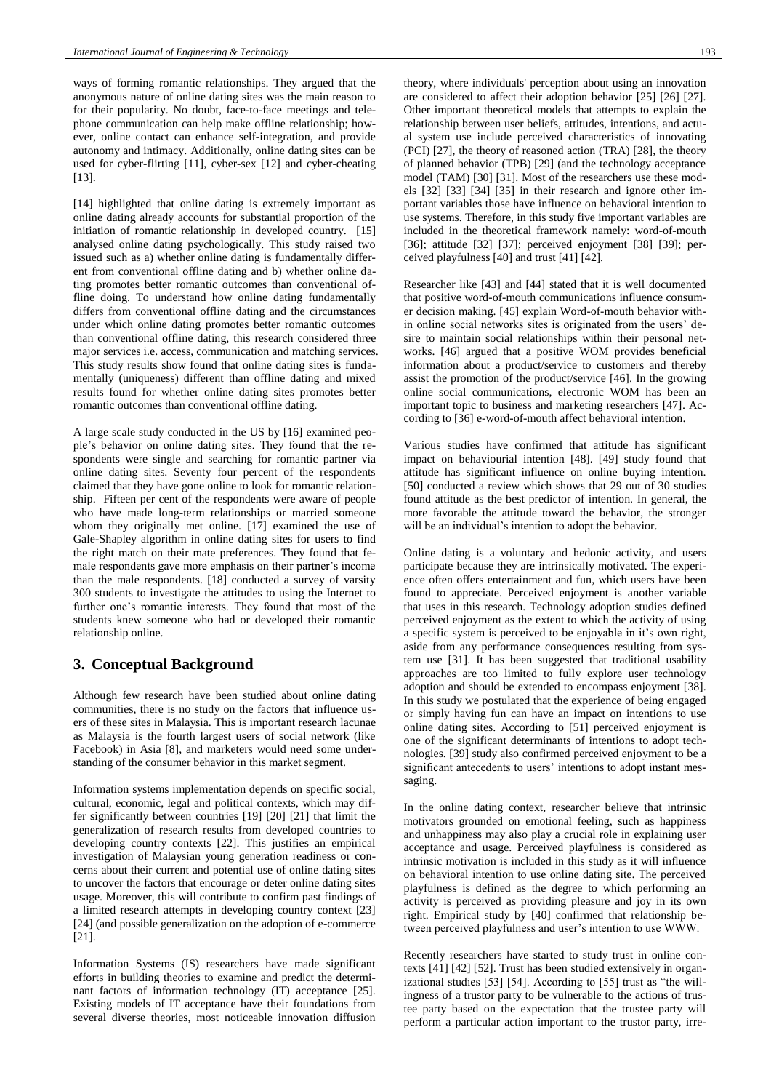ways of forming romantic relationships. They argued that the anonymous nature of online dating sites was the main reason to for their popularity. No doubt, face-to-face meetings and telephone communication can help make offline relationship; however, online contact can enhance self-integration, and provide autonomy and intimacy. Additionally, online dating sites can be used for cyber-flirting [11], cyber-sex [12] and cyber-cheating [13].

[14] highlighted that online dating is extremely important as online dating already accounts for substantial proportion of the initiation of romantic relationship in developed country. [15] analysed online dating psychologically. This study raised two issued such as a) whether online dating is fundamentally different from conventional offline dating and b) whether online dating promotes better romantic outcomes than conventional offline doing. To understand how online dating fundamentally differs from conventional offline dating and the circumstances under which online dating promotes better romantic outcomes than conventional offline dating, this research considered three major services i.e. access, communication and matching services. This study results show found that online dating sites is fundamentally (uniqueness) different than offline dating and mixed results found for whether online dating sites promotes better romantic outcomes than conventional offline dating.

A large scale study conducted in the US by [16] examined people's behavior on online dating sites. They found that the respondents were single and searching for romantic partner via online dating sites. Seventy four percent of the respondents claimed that they have gone online to look for romantic relationship. Fifteen per cent of the respondents were aware of people who have made long-term relationships or married someone whom they originally met online. [17] examined the use of Gale-Shapley algorithm in online dating sites for users to find the right match on their mate preferences. They found that female respondents gave more emphasis on their partner's income than the male respondents. [18] conducted a survey of varsity 300 students to investigate the attitudes to using the Internet to further one's romantic interests. They found that most of the students knew someone who had or developed their romantic relationship online.

# **3. Conceptual Background**

Although few research have been studied about online dating communities, there is no study on the factors that influence users of these sites in Malaysia. This is important research lacunae as Malaysia is the fourth largest users of social network (like Facebook) in Asia [8], and marketers would need some understanding of the consumer behavior in this market segment.

Information systems implementation depends on specific social, cultural, economic, legal and political contexts, which may differ significantly between countries [19] [20] [21] that limit the generalization of research results from developed countries to developing country contexts [22]. This justifies an empirical investigation of Malaysian young generation readiness or concerns about their current and potential use of online dating sites to uncover the factors that encourage or deter online dating sites usage. Moreover, this will contribute to confirm past findings of a limited research attempts in developing country context [23] [24] (and possible generalization on the adoption of e-commerce [21].

Information Systems (IS) researchers have made significant efforts in building theories to examine and predict the determinant factors of information technology (IT) acceptance [25]. Existing models of IT acceptance have their foundations from several diverse theories, most noticeable innovation diffusion theory, where individuals' perception about using an innovation are considered to affect their adoption behavior [25] [26] [27]. Other important theoretical models that attempts to explain the relationship between user beliefs, attitudes, intentions, and actual system use include perceived characteristics of innovating (PCI) [27], the theory of reasoned action (TRA) [28], the theory of planned behavior (TPB) [29] (and the technology acceptance model (TAM) [30] [31]. Most of the researchers use these models [32] [33] [34] [35] in their research and ignore other important variables those have influence on behavioral intention to use systems. Therefore, in this study five important variables are included in the theoretical framework namely: word-of-mouth [36]; attitude [32] [37]; perceived enjoyment [38] [39]; perceived playfulness [40] and trust [41] [42].

Researcher like [43] and [44] stated that it is well documented that positive word-of-mouth communications influence consumer decision making. [45] explain Word-of-mouth behavior within online social networks sites is originated from the users' desire to maintain social relationships within their personal networks. [46] argued that a positive WOM provides beneficial information about a product/service to customers and thereby assist the promotion of the product/service [46]. In the growing online social communications, electronic WOM has been an important topic to business and marketing researchers [47]. According to [36] e-word-of-mouth affect behavioral intention.

Various studies have confirmed that attitude has significant impact on behaviourial intention [48]. [49] study found that attitude has significant influence on online buying intention. [50] conducted a review which shows that 29 out of 30 studies found attitude as the best predictor of intention. In general, the more favorable the attitude toward the behavior, the stronger will be an individual's intention to adopt the behavior.

Online dating is a voluntary and hedonic activity, and users participate because they are intrinsically motivated. The experience often offers entertainment and fun, which users have been found to appreciate. Perceived enjoyment is another variable that uses in this research. Technology adoption studies defined perceived enjoyment as the extent to which the activity of using a specific system is perceived to be enjoyable in it's own right, aside from any performance consequences resulting from system use [31]. It has been suggested that traditional usability approaches are too limited to fully explore user technology adoption and should be extended to encompass enjoyment [38]. In this study we postulated that the experience of being engaged or simply having fun can have an impact on intentions to use online dating sites. According to [51] perceived enjoyment is one of the significant determinants of intentions to adopt technologies. [39] study also confirmed perceived enjoyment to be a significant antecedents to users' intentions to adopt instant messaging.

In the online dating context, researcher believe that intrinsic motivators grounded on emotional feeling, such as happiness and unhappiness may also play a crucial role in explaining user acceptance and usage. Perceived playfulness is considered as intrinsic motivation is included in this study as it will influence on behavioral intention to use online dating site. The perceived playfulness is defined as the degree to which performing an activity is perceived as providing pleasure and joy in its own right. Empirical study by [40] confirmed that relationship between perceived playfulness and user's intention to use WWW.

Recently researchers have started to study trust in online contexts [41] [42] [52]. Trust has been studied extensively in organizational studies [53] [54]. According to [55] trust as "the willingness of a trustor party to be vulnerable to the actions of trustee party based on the expectation that the trustee party will perform a particular action important to the trustor party, irre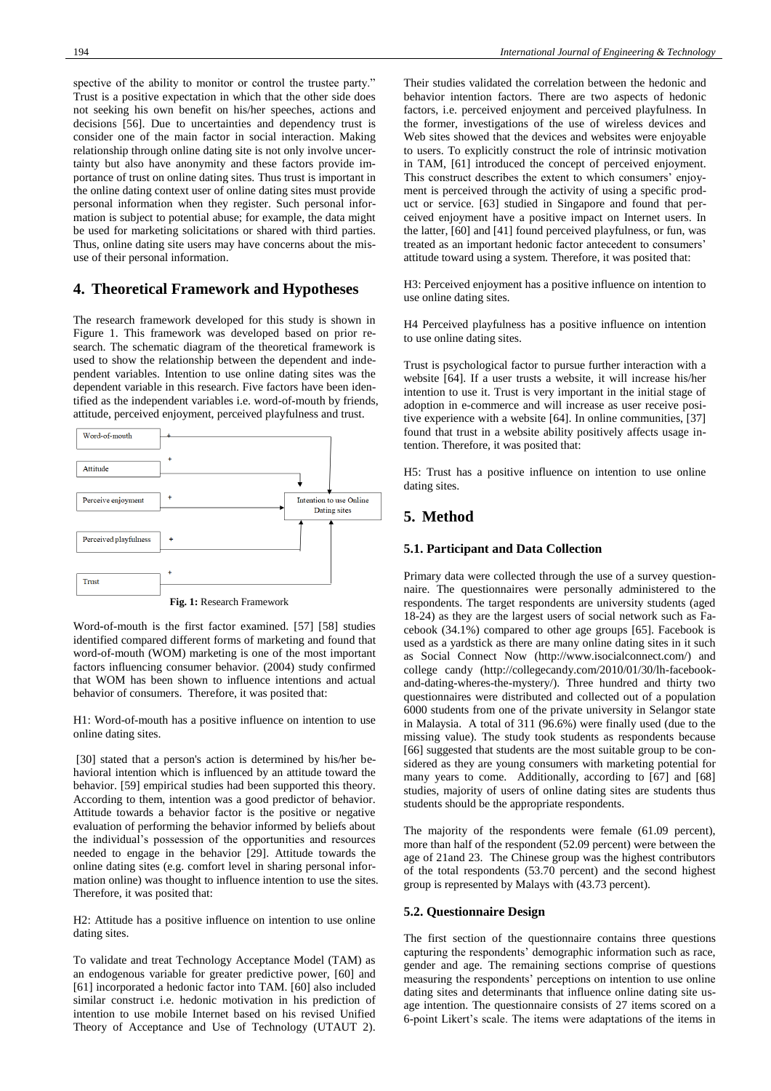spective of the ability to monitor or control the trustee party." Trust is a positive expectation in which that the other side does not seeking his own benefit on his/her speeches, actions and decisions [56]. Due to uncertainties and dependency trust is consider one of the main factor in social interaction. Making relationship through online dating site is not only involve uncertainty but also have anonymity and these factors provide importance of trust on online dating sites. Thus trust is important in the online dating context user of online dating sites must provide personal information when they register. Such personal information is subject to potential abuse; for example, the data might be used for marketing solicitations or shared with third parties. Thus, online dating site users may have concerns about the misuse of their personal information.

#### **4. Theoretical Framework and Hypotheses**

The research framework developed for this study is shown in Figure 1. This framework was developed based on prior research. The schematic diagram of the theoretical framework is used to show the relationship between the dependent and independent variables. Intention to use online dating sites was the dependent variable in this research. Five factors have been identified as the independent variables i.e. word-of-mouth by friends, attitude, perceived enjoyment, perceived playfulness and trust.



Word-of-mouth is the first factor examined. [57] [58] studies identified compared different forms of marketing and found that word-of-mouth (WOM) marketing is one of the most important factors influencing consumer behavior. (2004) study confirmed that WOM has been shown to influence intentions and actual behavior of consumers. Therefore, it was posited that:

H1: Word-of-mouth has a positive influence on intention to use online dating sites.

[30] stated that a person's action is determined by his/her behavioral intention which is influenced by an attitude toward the behavior. [59] empirical studies had been supported this theory. According to them, intention was a good predictor of behavior. Attitude towards a behavior factor is the positive or negative evaluation of performing the behavior informed by beliefs about the individual's possession of the opportunities and resources needed to engage in the behavior [29]. Attitude towards the online dating sites (e.g. comfort level in sharing personal information online) was thought to influence intention to use the sites. Therefore, it was posited that:

H2: Attitude has a positive influence on intention to use online dating sites.

To validate and treat Technology Acceptance Model (TAM) as an endogenous variable for greater predictive power, [60] and [61] incorporated a hedonic factor into TAM. [60] also included similar construct i.e. hedonic motivation in his prediction of intention to use mobile Internet based on his revised Unified Theory of Acceptance and Use of Technology (UTAUT 2). Their studies validated the correlation between the hedonic and behavior intention factors. There are two aspects of hedonic factors, i.e. perceived enjoyment and perceived playfulness. In the former, investigations of the use of wireless devices and Web sites showed that the devices and websites were enjoyable to users. To explicitly construct the role of intrinsic motivation in TAM, [61] introduced the concept of perceived enjoyment. This construct describes the extent to which consumers' enjoyment is perceived through the activity of using a specific product or service. [63] studied in Singapore and found that perceived enjoyment have a positive impact on Internet users. In the latter, [60] and [41] found perceived playfulness, or fun, was treated as an important hedonic factor antecedent to consumers' attitude toward using a system. Therefore, it was posited that:

H3: Perceived enjoyment has a positive influence on intention to use online dating sites.

H4 Perceived playfulness has a positive influence on intention to use online dating sites.

Trust is psychological factor to pursue further interaction with a website [64]. If a user trusts a website, it will increase his/her intention to use it. Trust is very important in the initial stage of adoption in e-commerce and will increase as user receive positive experience with a website [64]. In online communities, [37] found that trust in a website ability positively affects usage intention. Therefore, it was posited that:

H5: Trust has a positive influence on intention to use online dating sites.

## **5. Method**

#### **5.1. Participant and Data Collection**

Primary data were collected through the use of a survey questionnaire. The questionnaires were personally administered to the respondents. The target respondents are university students (aged 18-24) as they are the largest users of social network such as Facebook (34.1%) compared to other age groups [65]. Facebook is used as a yardstick as there are many online dating sites in it such as Social Connect Now [\(http://www.isocialconnect.com/\)](http://www.isocialconnect.com/) and college candy [\(http://collegecandy.com/2010/01/30/lh-facebook](http://collegecandy.com/2010/01/30/lh-facebook-and-dating-wheres-the-mystery/)[and-dating-wheres-the-mystery/\)](http://collegecandy.com/2010/01/30/lh-facebook-and-dating-wheres-the-mystery/). Three hundred and thirty two questionnaires were distributed and collected out of a population 6000 students from one of the private university in Selangor state in Malaysia. A total of 311 (96.6%) were finally used (due to the missing value). The study took students as respondents because [66] suggested that students are the most suitable group to be considered as they are young consumers with marketing potential for many years to come. Additionally, according to [67] and [68] studies, majority of users of online dating sites are students thus students should be the appropriate respondents.

The majority of the respondents were female (61.09 percent), more than half of the respondent (52.09 percent) were between the age of 21and 23. The Chinese group was the highest contributors of the total respondents (53.70 percent) and the second highest group is represented by Malays with (43.73 percent).

#### **5.2. Questionnaire Design**

The first section of the questionnaire contains three questions capturing the respondents' demographic information such as race, gender and age. The remaining sections comprise of questions measuring the respondents' perceptions on intention to use online dating sites and determinants that influence online dating site usage intention. The questionnaire consists of 27 items scored on a 6-point Likert's scale. The items were adaptations of the items in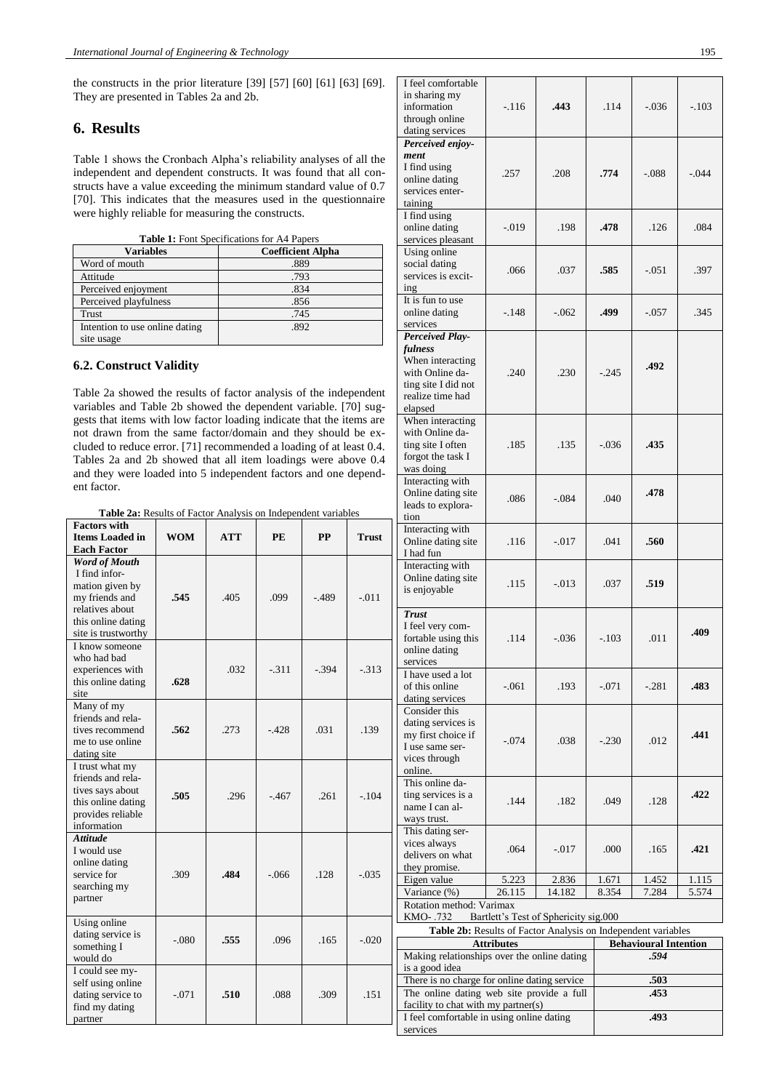the constructs in the prior literature [39] [57] [60] [61] [63] [69]. They are presented in Tables 2a and 2b.

## **6. Results**

Table 1 shows the Cronbach Alpha's reliability analyses of all the independent and dependent constructs. It was found that all constructs have a value exceeding the minimum standard value of 0.7 [70]. This indicates that the measures used in the questionnaire were highly reliable for measuring the constructs.

**Table 1:** Font Specifications for A4 Papers

| <b>Variables</b>               | <b>Coefficient Alpha</b> |
|--------------------------------|--------------------------|
| Word of mouth                  | .889                     |
| Attitude                       | .793                     |
| Perceived enjoyment            | .834                     |
| Perceived playfulness          | .856                     |
| Trust                          | .745                     |
| Intention to use online dating | .892                     |
| site usage                     |                          |

#### **6.2. Construct Validity**

Table 2a showed the results of factor analysis of the independent variables and Table 2b showed the dependent variable. [70] suggests that items with low factor loading indicate that the items are not drawn from the same factor/domain and they should be excluded to reduce error. [71] recommended a loading of at least 0.4. Tables 2a and 2b showed that all item loadings were above 0.4 and they were loaded into 5 independent factors and one dependent factor.

**Table 2a:** Results of Factor Analysis on Independent variables

|                                                                                                                                                                  | <b>Table 2a.</b> Kesults of Factor Allarysis on independent variables |      |         |           | tion         |                                                                                                                                                                                                                                                                                                                                                                                                                                     |
|------------------------------------------------------------------------------------------------------------------------------------------------------------------|-----------------------------------------------------------------------|------|---------|-----------|--------------|-------------------------------------------------------------------------------------------------------------------------------------------------------------------------------------------------------------------------------------------------------------------------------------------------------------------------------------------------------------------------------------------------------------------------------------|
| <b>Factors with</b><br><b>Items Loaded in</b>                                                                                                                    | <b>WOM</b>                                                            | ATT  | PE      | <b>PP</b> | <b>Trust</b> | Interacting<br>Online dat                                                                                                                                                                                                                                                                                                                                                                                                           |
| <b>Each Factor</b><br><b>Word of Mouth</b><br>I find infor-<br>mation given by<br>my friends and<br>relatives about<br>this online dating<br>site is trustworthy | .545                                                                  | .405 | .099    | $-489$    | $-.011$      | I had fun<br>Interacting<br>Online dat<br>is enjoyab<br><b>Trust</b><br>I feel very<br>fortable us<br>online dati<br>services<br>I have use<br>of this onl<br>dating serv<br>Consider t<br>dating serv<br>my first ch<br>I use same<br>vices throu<br>online.<br>This onlin<br>ting servic<br>name I car<br>ways trust<br>This datin<br>vices alwa<br>delivers or<br>they prom<br>Eigen valu<br>Variance (<br>Rotation n<br>KMO-.73 |
| I know someone<br>who had bad<br>experiences with<br>this online dating<br>site                                                                                  | .628                                                                  | .032 | $-.311$ | $-.394$   | $-313$       |                                                                                                                                                                                                                                                                                                                                                                                                                                     |
| Many of my<br>friends and rela-<br>tives recommend<br>me to use online<br>dating site                                                                            | .562                                                                  | .273 | $-.428$ | .031      | .139         |                                                                                                                                                                                                                                                                                                                                                                                                                                     |
| I trust what my<br>friends and rela-<br>tives says about<br>this online dating<br>provides reliable<br>information                                               | .505                                                                  | .296 | $-467$  | .261      | $-.104$      |                                                                                                                                                                                                                                                                                                                                                                                                                                     |
| <b>Attitude</b><br>I would use<br>online dating<br>service for<br>searching my<br>partner                                                                        | .309                                                                  | .484 | $-.066$ | .128      | $-.035$      |                                                                                                                                                                                                                                                                                                                                                                                                                                     |
| Using online<br>dating service is<br>something I<br>would do                                                                                                     | $-.080$                                                               | .555 | .096    | .165      | $-.020$      | Tab<br>Making re                                                                                                                                                                                                                                                                                                                                                                                                                    |
| I could see my-<br>self using online<br>dating service to<br>find my dating<br>partner                                                                           | $-.071$                                                               | .510 | .088    | .309      | .151         | is a good i<br>There is no<br>The onlin<br>facility to<br>I feel com<br>services                                                                                                                                                                                                                                                                                                                                                    |

| I feel comfortable<br>in sharing my<br>information<br>through online<br>dating services                                        | $-.116$                               | .443     | .114    | $-.036$                      | $-.103$ |
|--------------------------------------------------------------------------------------------------------------------------------|---------------------------------------|----------|---------|------------------------------|---------|
| Perceived enjoy-<br>ment<br>I find using<br>online dating<br>services enter-<br>taining                                        | .257                                  | .208     | .774    | $-.088$                      | $-.044$ |
| I find using<br>online dating<br>services pleasant                                                                             | $-.019$                               | .198     | .478    | .126                         | .084    |
| Using online<br>social dating<br>services is excit-<br>ing                                                                     | .066                                  | .037     | .585    | $-.051$                      | .397    |
| It is fun to use<br>online dating<br>services                                                                                  | $-.148$                               | $-.062$  | .499    | $-.057$                      | .345    |
| <b>Perceived Play-</b><br>fulness<br>When interacting<br>with Online da-<br>ting site I did not<br>realize time had<br>elapsed | .240                                  | .230     | $-245$  | .492                         |         |
| When interacting<br>with Online da-<br>ting site I often<br>forgot the task I<br>was doing                                     | .185                                  | .135     | $-.036$ | .435                         |         |
| Interacting with<br>Online dating site<br>leads to explora-<br>tion                                                            | .086                                  | $-.084$  | .040    | .478                         |         |
| Interacting with<br>Online dating site<br>I had fun                                                                            | .116                                  | $-.017$  | .041    | .560                         |         |
| Interacting with<br>Online dating site<br>is enjoyable                                                                         | .115                                  | $-0.013$ | .037    | .519                         |         |
| <b>Trust</b><br>I feel very com-<br>fortable using this<br>online dating<br>services                                           | .114                                  | $-.036$  | $-.103$ | .011                         | .409    |
| I have used a lot<br>of this online<br>dating services                                                                         | $-.061$                               | .193     | $-.071$ | $-.281$                      | .483    |
| Consider this<br>dating services is<br>my first choice if<br>I use same ser-<br>vices through<br>online.                       | $-.074$                               | .038     | $-.230$ | .012                         | .441    |
| This online da-<br>ting services is a<br>name I can al-<br>ways trust.                                                         | .144                                  | .182     | .049    | .128                         | .422    |
| This dating ser-<br>vices always<br>delivers on what<br>they promise.                                                          | .064                                  | $-0.017$ | .000    | .165                         | .421    |
| Eigen value                                                                                                                    | 5.223                                 | 2.836    | 1.671   | 1.452                        | 1.115   |
| Variance (%)                                                                                                                   | 26.115                                | 14.182   | 8.354   | 7.284                        | 5.574   |
| Rotation method: Varimax                                                                                                       |                                       |          |         |                              |         |
| KMO-.732                                                                                                                       | Bartlett's Test of Sphericity sig.000 |          |         |                              |         |
| Table 2b: Results of Factor Analysis on Independent variables                                                                  |                                       |          |         |                              |         |
|                                                                                                                                | <b>Attributes</b>                     |          |         | <b>Behavioural Intention</b> |         |
| Making relationships over the online dating<br>is a good idea                                                                  |                                       |          |         | .594                         |         |
| There is no charge for online dating service                                                                                   |                                       |          |         | .503                         |         |
| The online dating web site provide a full                                                                                      |                                       |          |         | .453                         |         |
| facility to chat with my partner(s)                                                                                            |                                       |          |         |                              |         |
| I feel comfortable in using online dating                                                                                      |                                       |          |         | .493                         |         |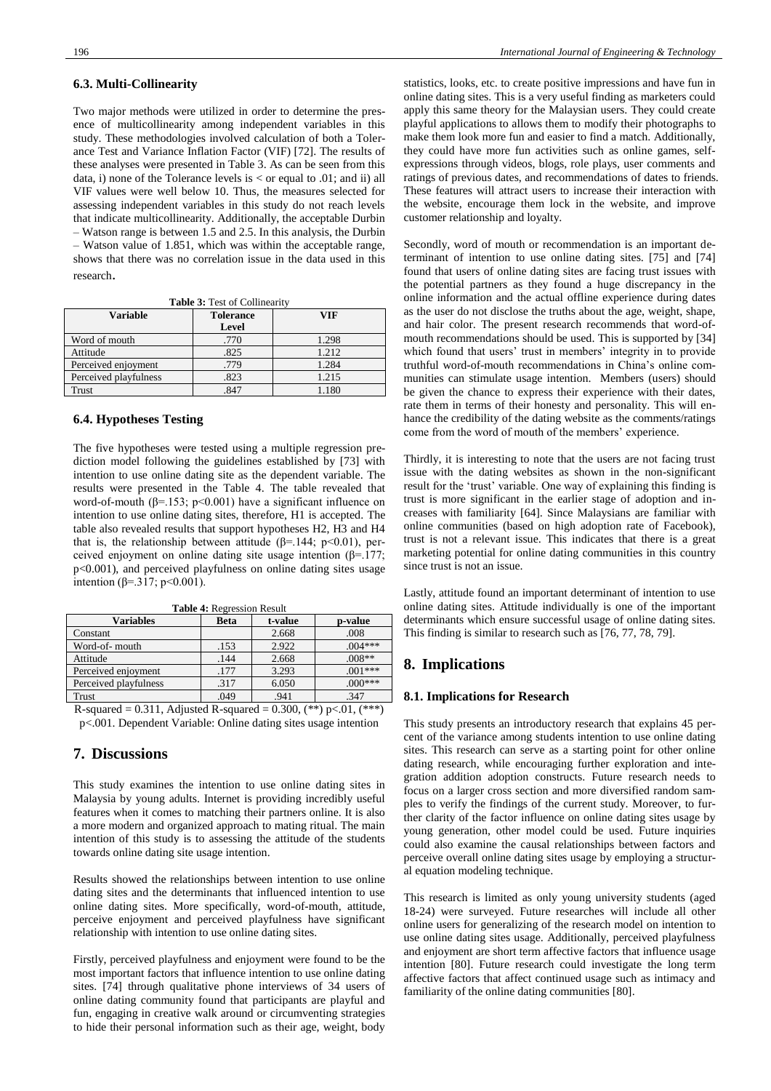#### **6.3. Multi-Collinearity**

Two major methods were utilized in order to determine the presence of multicollinearity among independent variables in this study. These methodologies involved calculation of both a Tolerance Test and Variance Inflation Factor (VIF) [72]. The results of these analyses were presented in Table 3. As can be seen from this data, i) none of the Tolerance levels is < or equal to .01; and ii) all VIF values were well below 10. Thus, the measures selected for assessing independent variables in this study do not reach levels that indicate multicollinearity. Additionally, the acceptable Durbin – Watson range is between 1.5 and 2.5. In this analysis, the Durbin – Watson value of 1.851, which was within the acceptable range, shows that there was no correlation issue in the data used in this research.

**Table 3:** Test of Collinearity

| Variable              | <b>Tolerance</b> | VIF   |  |  |
|-----------------------|------------------|-------|--|--|
|                       | Level            |       |  |  |
| Word of mouth         | .770             | 1.298 |  |  |
| Attitude              | .825             | 1.212 |  |  |
| Perceived enjoyment   | .779             | 1.284 |  |  |
| Perceived playfulness | .823             | 1.215 |  |  |
| Trust                 | .847             | .180  |  |  |

#### **6.4. Hypotheses Testing**

The five hypotheses were tested using a multiple regression prediction model following the guidelines established by [73] with intention to use online dating site as the dependent variable. The results were presented in the Table 4. The table revealed that word-of-mouth ( $\beta$ =.153; p<0.001) have a significant influence on intention to use online dating sites, therefore, H1 is accepted. The table also revealed results that support hypotheses H2, H3 and H4 that is, the relationship between attitude ( $\beta$ =.144; p<0.01), perceived enjoyment on online dating site usage intention  $(\beta = 177)$ ; p<0.001), and perceived playfulness on online dating sites usage intention (β=.317; p<0.001).

| <b>Variables</b>      | <b>Beta</b> | t-value | p-value   |
|-----------------------|-------------|---------|-----------|
| Constant              |             | 2.668   | .008      |
| Word-of- mouth        | .153        | 2.922   | $.004***$ |
| Attitude              | .144        | 2.668   | $.008**$  |
| Perceived enjoyment   | .177        | 3.293   | $.001***$ |
| Perceived playfulness | .317        | 6.050   | $.000***$ |
| Trust                 | .049        | .941    | .347      |

**Table 4:** Regression Result

R-squared = 0.311, Adjusted R-squared = 0.300,  $(**)$  p<.01,  $(***)$ p<.001. Dependent Variable: Online dating sites usage intention

#### **7. Discussions**

This study examines the intention to use online dating sites in Malaysia by young adults. Internet is providing incredibly useful features when it comes to matching their partners online. It is also a more modern and organized approach to mating ritual. The main intention of this study is to assessing the attitude of the students towards online dating site usage intention.

Results showed the relationships between intention to use online dating sites and the determinants that influenced intention to use online dating sites. More specifically, word-of-mouth, attitude, perceive enjoyment and perceived playfulness have significant relationship with intention to use online dating sites.

Firstly, perceived playfulness and enjoyment were found to be the most important factors that influence intention to use online dating sites. [74] through qualitative phone interviews of 34 users of online dating community found that participants are playful and fun, engaging in creative walk around or circumventing strategies to hide their personal information such as their age, weight, body statistics, looks, etc. to create positive impressions and have fun in online dating sites. This is a very useful finding as marketers could apply this same theory for the Malaysian users. They could create playful applications to allows them to modify their photographs to make them look more fun and easier to find a match. Additionally, they could have more fun activities such as online games, selfexpressions through videos, blogs, role plays, user comments and ratings of previous dates, and recommendations of dates to friends. These features will attract users to increase their interaction with the website, encourage them lock in the website, and improve customer relationship and loyalty.

Secondly, word of mouth or recommendation is an important determinant of intention to use online dating sites. [75] and [74] found that users of online dating sites are facing trust issues with the potential partners as they found a huge discrepancy in the online information and the actual offline experience during dates as the user do not disclose the truths about the age, weight, shape, and hair color. The present research recommends that word-ofmouth recommendations should be used. This is supported by [34] which found that users' trust in members' integrity in to provide truthful word-of-mouth recommendations in China's online communities can stimulate usage intention. Members (users) should be given the chance to express their experience with their dates, rate them in terms of their honesty and personality. This will enhance the credibility of the dating website as the comments/ratings come from the word of mouth of the members' experience.

Thirdly, it is interesting to note that the users are not facing trust issue with the dating websites as shown in the non-significant result for the 'trust' variable. One way of explaining this finding is trust is more significant in the earlier stage of adoption and increases with familiarity [64]. Since Malaysians are familiar with online communities (based on high adoption rate of Facebook), trust is not a relevant issue. This indicates that there is a great marketing potential for online dating communities in this country since trust is not an issue.

Lastly, attitude found an important determinant of intention to use online dating sites. Attitude individually is one of the important determinants which ensure successful usage of online dating sites. This finding is similar to research such as [76, 77, 78, 79].

## **8. Implications**

#### **8.1. Implications for Research**

This study presents an introductory research that explains 45 percent of the variance among students intention to use online dating sites. This research can serve as a starting point for other online dating research, while encouraging further exploration and integration addition adoption constructs. Future research needs to focus on a larger cross section and more diversified random samples to verify the findings of the current study. Moreover, to further clarity of the factor influence on online dating sites usage by young generation, other model could be used. Future inquiries could also examine the causal relationships between factors and perceive overall online dating sites usage by employing a structural equation modeling technique.

This research is limited as only young university students (aged 18-24) were surveyed. Future researches will include all other online users for generalizing of the research model on intention to use online dating sites usage. Additionally, perceived playfulness and enjoyment are short term affective factors that influence usage intention [80]. Future research could investigate the long term affective factors that affect continued usage such as intimacy and familiarity of the online dating communities [80].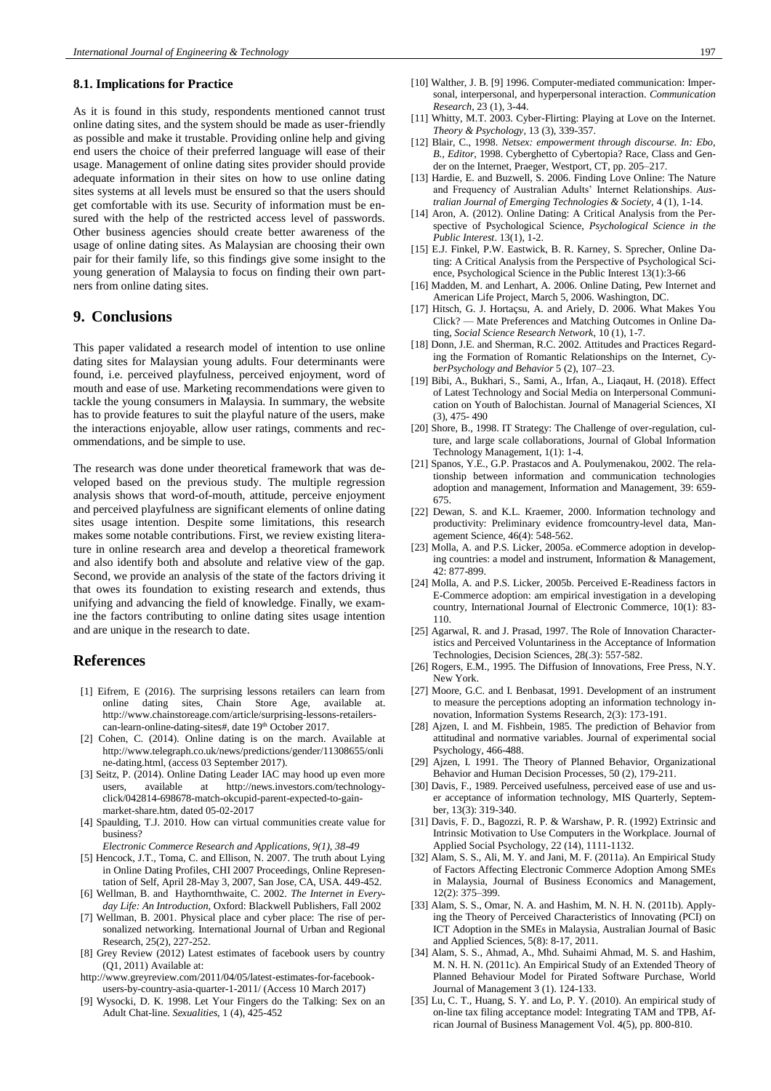#### **8.1. Implications for Practice**

As it is found in this study, respondents mentioned cannot trust online dating sites, and the system should be made as user-friendly as possible and make it trustable. Providing online help and giving end users the choice of their preferred language will ease of their usage. Management of online dating sites provider should provide adequate information in their sites on how to use online dating sites systems at all levels must be ensured so that the users should get comfortable with its use. Security of information must be ensured with the help of the restricted access level of passwords. Other business agencies should create better awareness of the usage of online dating sites. As Malaysian are choosing their own pair for their family life, so this findings give some insight to the young generation of Malaysia to focus on finding their own partners from online dating sites.

## **9. Conclusions**

This paper validated a research model of intention to use online dating sites for Malaysian young adults. Four determinants were found, i.e. perceived playfulness, perceived enjoyment, word of mouth and ease of use. Marketing recommendations were given to tackle the young consumers in Malaysia. In summary, the website has to provide features to suit the playful nature of the users, make the interactions enjoyable, allow user ratings, comments and recommendations, and be simple to use.

The research was done under theoretical framework that was developed based on the previous study. The multiple regression analysis shows that word-of-mouth, attitude, perceive enjoyment and perceived playfulness are significant elements of online dating sites usage intention. Despite some limitations, this research makes some notable contributions. First, we review existing literature in online research area and develop a theoretical framework and also identify both and absolute and relative view of the gap. Second, we provide an analysis of the state of the factors driving it that owes its foundation to existing research and extends, thus unifying and advancing the field of knowledge. Finally, we examine the factors contributing to online dating sites usage intention and are unique in the research to date.

#### **References**

- [1] Eifrem, E (2016). The surprising lessons retailers can learn from online dating sites, Chain Store Age, available at. [http://www.chainstoreage.com/article/surprising-lessons-retailers](http://www.chainstoreage.com/article/surprising-lessons-retailers-can-learn-online-dating-sites)[can-learn-online-dating-sites#,](http://www.chainstoreage.com/article/surprising-lessons-retailers-can-learn-online-dating-sites) date 19<sup>th</sup> October 2017.
- [2] Cohen, C. (2014). Online dating is on the march. Available at [http://www.telegraph.co.uk/news/predictions/gender/11308655/onli](http://www.telegraph.co.uk/news/predictions/gender/11308655/online-dating.html) [ne-dating.html,](http://www.telegraph.co.uk/news/predictions/gender/11308655/online-dating.html) (access 03 September 2017).
- [3] Seitz, P. (2014). Online Dating Leader IAC may hood up even more users, available at [http://news.investors.com/technology](http://news.investors.com/technology-click/042814-698678-match-okcupid-parent-expected-to-gain-market-share.htm)[click/042814-698678-match-okcupid-parent-expected-to-gain](http://news.investors.com/technology-click/042814-698678-match-okcupid-parent-expected-to-gain-market-share.htm)[market-share.htm,](http://news.investors.com/technology-click/042814-698678-match-okcupid-parent-expected-to-gain-market-share.htm) dated 05-02-2017
- [4] Spaulding, T.J. 2010. [How can virtual communities](http://www.sciencedirect.com/science/article/pii/S156742230900043X) create value for [business?](http://www.sciencedirect.com/science/article/pii/S156742230900043X)
- *Electronic Commerce Research and Applications, 9(1), 38-49*
- [5] Hencock, J.T., Toma, C. and Ellison, N. 2007. The truth about Lying in Online Dating Profiles, CHI 2007 Proceedings, Online Representation of Self, April 28-May 3, 2007, San Jose, CA, USA. 449-452.
- [6] Wellman, B. and Haythornthwaite, C. 2002. *The Internet in Everyday Life: An Introduction,* Oxford: Blackwell Publishers, Fall 2002
- [7] Wellman, B. 2001. Physical place and cyber place: The rise of personalized networking. International Journal of Urban and Regional Research, 25(2), 227-252.
- [8] Grey Review (2012) Latest estimates of facebook users by country (Q1, 2011) Available at:
- [http://www.greyreview.com/2011/04/05/latest-estimates-for-facebook](http://www.greyreview.com/2011/04/05/latest-estimates-for-facebook-users-by-country-asia-quarter-1-2011/)[users-by-country-asia-quarter-1-2011/](http://www.greyreview.com/2011/04/05/latest-estimates-for-facebook-users-by-country-asia-quarter-1-2011/) (Access 10 March 2017)
- [9] Wysocki, D. K. 1998. Let Your Fingers do the Talking: Sex on an Adult Chat-line. *Sexualities,* 1 (4), 425-452
- [10] Walther, J. B. [9] 1996. Computer-mediated communication: Impersonal, interpersonal, and hyperpersonal interaction. *Communication Research*, 23 (1), 3-44.
- [11] Whitty, M.T. 2003. Cyber-Flirting: Playing at Love on the Internet. *Theory & Psychology,* 13 (3), 339-357.
- [12] Blair, C., 1998. *Netsex: empowerment through discourse. In: Ebo, B., Editor,* 1998. Cyberghetto of Cybertopia? Race, Class and Gender on the Internet, Praeger, Westport, CT, pp. 205–217.
- [13] Hardie, E. and Buzwell, S. 2006. Finding Love Online: The Nature and Frequency of Australian Adults' Internet Relationships. *Australian Journal of Emerging Technologies & Society,* 4 (1), 1-14.
- [14] Aron, A. (2012). Online Dating: A Critical Analysis from the Perspective of Psychological Science, *Psychological Science in the Public Interest*. 13(1), 1-2.
- [15] E.J. Finkel, P.W. Eastwick, B. R. Karney, S. Sprecher, Online Dating: A Critical Analysis from the Perspective of Psychological Science, Psychological Science in the Public Interest 13(1):3-66
- [16] Madden, M. and Lenhart, A. 2006. Online Dating, Pew Internet and American Life Project, March 5, 2006. Washington, DC.
- [17] Hitsch, G. J. Hortaçsu, A. and Ariely, D. 2006. What Makes You Click? — Mate Preferences and Matching Outcomes in Online Dating, *Social Science Research Network*, 10 (1), 1-7.
- [18] Donn, J.E. and Sherman, R.C. 2002. Attitudes and Practices Regarding the Formation of Romantic Relationships on the Internet, *CyberPsychology and Behavior* 5 (2), 107–23.
- [19] Bibi, A., Bukhari, S., Sami, A., Irfan, A., Liaqaut, H. (2018). Effect of Latest Technology and Social Media on Interpersonal Communication on Youth of Balochistan. Journal of Managerial Sciences, XI (3), 475- 490
- [20] Shore, B., 1998. IT Strategy: The Challenge of over-regulation, culture, and large scale collaborations, Journal of Global Information Technology Management, 1(1): 1-4.
- [21] Spanos, Y.E., G.P. Prastacos and A. Poulymenakou, 2002. The relationship between information and communication technologies adoption and management, Information and Management, 39: 659- 675.
- [22] Dewan, S. and K.L. Kraemer, 2000. Information technology and productivity: Preliminary evidence fromcountry-level data, Management Science, 46(4): 548-562.
- [23] Molla, A. and P.S. Licker, 2005a. eCommerce adoption in developing countries: a model and instrument, Information & Management, 42: 877-899.
- [24] Molla, A. and P.S. Licker, 2005b. Perceived E-Readiness factors in E-Commerce adoption: am empirical investigation in a developing country, International Journal of Electronic Commerce, 10(1): 83- 110.
- [25] Agarwal, R. and J. Prasad, 1997. The Role of Innovation Characteristics and Perceived Voluntariness in the Acceptance of Information Technologies, Decision Sciences, 28(.3): 557-582.
- [26] Rogers, E.M., 1995. The Diffusion of Innovations, Free Press, N.Y. New York.
- [27] Moore, G.C. and I. Benbasat, 1991. Development of an instrument to measure the perceptions adopting an information technology innovation, Information Systems Research, 2(3): 173-191.
- [28] Ajzen, I. and M. Fishbein, 1985. The prediction of Behavior from attitudinal and normative variables. Journal of experimental social Psychology, 466-488.
- [29] Ajzen, I. 1991. The Theory of Planned Behavior, Organizational Behavior and Human Decision Processes, 50 (2), 179-211.
- [30] Davis, F., 1989. Perceived usefulness, perceived ease of use and user acceptance of information technology, MIS Quarterly, September, 13(3): 319-340.
- [31] Davis, F. D., Bagozzi, R. P. & Warshaw, P. R. (1992) Extrinsic and Intrinsic Motivation to Use Computers in the Workplace. Journal of Applied Social Psychology, 22 (14), 1111-1132.
- [32] Alam, S. S., Ali, M. Y. and Jani, M. F. (2011a). An Empirical Study of Factors Affecting Electronic Commerce Adoption Among SMEs in Malaysia, Journal of Business Economics and Management, 12(2): 375–399.
- [33] Alam, S. S., Omar, N. A. and Hashim, M. N. H. N. (2011b). Applying the Theory of Perceived Characteristics of Innovating (PCI) on ICT Adoption in the SMEs in Malaysia, Australian Journal of Basic and Applied Sciences, 5(8): 8-17, 2011.
- [34] Alam, S. S., Ahmad, A., Mhd. Suhaimi Ahmad, M. S. and Hashim, M. N. H. N. (2011c). An Empirical Study of an Extended Theory of Planned Behaviour Model for Pirated Software Purchase, World Journal of Management 3 (1). 124-133.
- [35] Lu, C. T., Huang, S. Y. and Lo, P. Y. (2010). An empirical study of on-line tax filing acceptance model: Integrating TAM and TPB, African Journal of Business Management Vol. 4(5), pp. 800-810.